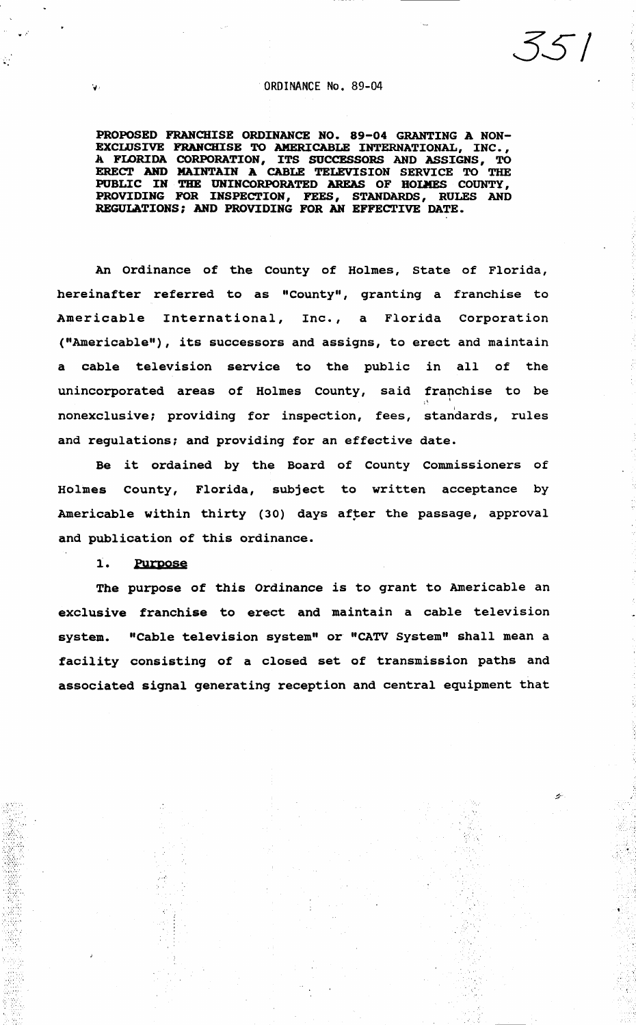### .. , . ORDINANCE No. 89-04

*35/* 

•.

Ż.

'·:

PROPOSED FRANCHISE ORDINANCE NO. 89-04 GRANTING A NON-EXCLUSIVE FRANCHISE TO AMERICABLE INTERNATIONAL, INC., A FLORIDA CORPORATION, ITS SUCCESSORS AND ASSIGNS, TO ERECT AND MAINTAIN A CABLE TELEVISION SERVICE TO THE PUBLIC IN THE UNINCORPORATED AREAS OF HOLMES COUNTY, PROVIDING FOR INSPECTION, FEES, STANDARDS, RULES AND REGULATIONS; AND PROVIDING FOR AN EFFECTIVE DATE.

An Ordinance of the County of Holmes, State of Florida, hereinafter referred to as "County", granting a franchise to Americable International, Inc., a Florida Corporation ("Americable"), its successors and assigns, to erect and maintain a cable television service to the public in all of the unincorporated areas of Holmes county, said franchise to be ' I nonexclusive; providing for inspection, fees, standards, rules and regulations; and providing for an effective date.

Be it ordained by the Board of County Commissioners of Holmes County, Florida, subject to written acceptance by Americable within thirty (30) days after the passage, approval and publication of this ordinance.

#### 1. Purpose

The purpose of this Ordinance is to grant to Americable an exclusive franchise to erect and maintain a cable television system. "Cable television system" or "CATV System" shall mean a facility consisting of a closed set of transmission paths and associated signal generating reception and central equipment that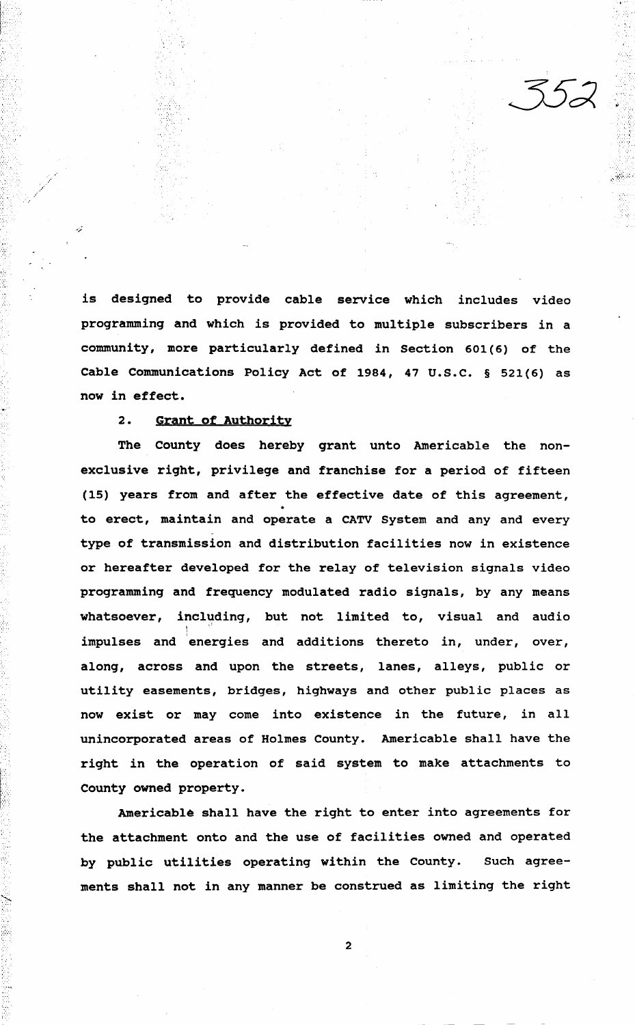$\sim$  .

is designed to provide cable service which includes video programming and which is provided to multiple subscribers in a community, more particularly defined in Section 601(6) of the Cable Communications Policy Act of 1984, 47 u.s.c. § 521(6) as now in effect.

# 2. Grant of Authority

· .. ·.

'.'.'

The county does hereby grant unto Americable the nonexclusive right, privilege and franchise for a period of fifteen (15) years from and after the effective date of this agreement, to erect, maintain and operate a CATV System and any and every type of transmission and distribution facilities now in existence or hereafter developed for the relay of television signals video programming and frequency modulated radio signals, by any means whatsoever, including, but not limited to, visual and audio impulses and 'energies and additions thereto in, under, over, along, across and upon the streets, lanes, alleys, public or utility easements, bridges, highways and other public places as now exist or may come into existence in the future, in all unincorporated areas of Holmes County. Americable shall have the right in the operation of said system to make attachments to County owned property.

Americable shall have the right to enter into agreements for the attachment onto and the use of facilities owned and operated by public utilities operating within the County. Such agreements shall not in any manner be construed as limiting the right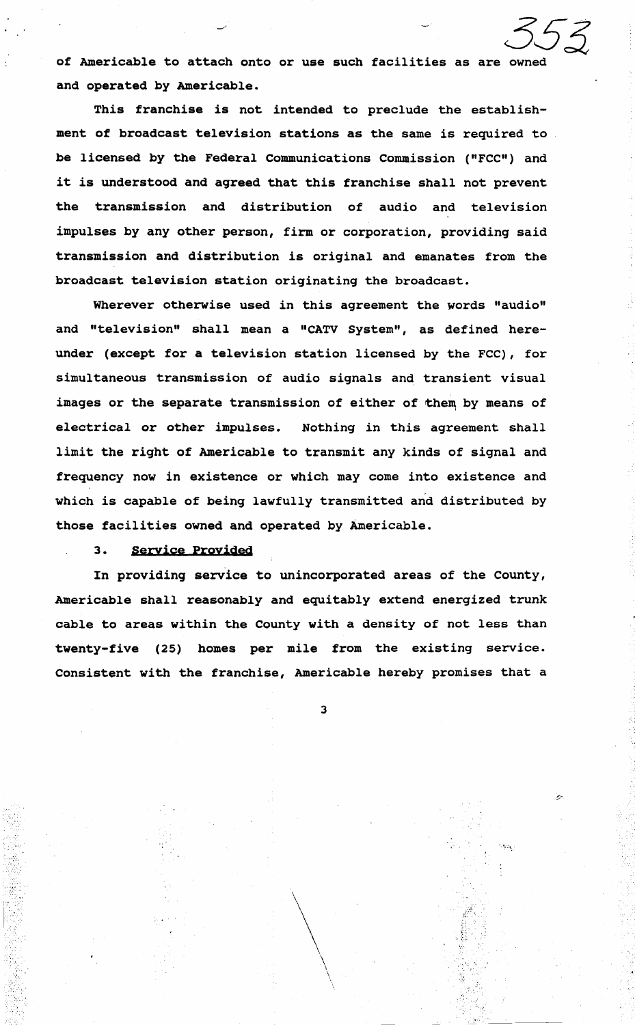*353*  of Americable to attach onto or use such facilities as are owned and operated by Americable.

This franchise is not intended to preclude the establishment of broadcast television stations as the same is required to be licensed by the Federal communications Commission ("FCC") and it is understood and agreed that this franchise shall not prevent the transmission and distribution of audio and television impulses by any other person, firm or corporation, providing said transmission and distribution is original and emanates from the broadcast television station originating the broadcast.

Wherever otherwise used in this agreement the words "audio" and "television" shall mean a "CATV System", as defined hereunder (except for a television station licensed by the FCC), for simultaneous transmission of audio signals and transient visual images or the separate transmission of either of them by means of electrical or other impulses. Nothing in this agreement shall limit the right of Americable to transmit any kinds of signal and frequency now in existence or which may come into existence and which is capable of being lawfully transmitted and distributed by those facilities owned and operated by Americable.

### 3. Seryice Proyided

 $\sim$   $\sim$ 

·, ..

 $\mathcal{C} \rightarrow \mathcal{C}$ 

*'·.·:.* 

In providing service to unincorporated areas of the County, Americable shall reasonably and equitably extend energized trunk cable to areas within the County with a density of not less than twenty-five (25) homes per mile from the existing service. Consistent with the franchise, Americable hereby promises that a

3

 $\cdot$  .

 $\frac{1}{2}$ .

 $\frac{1}{2}$ .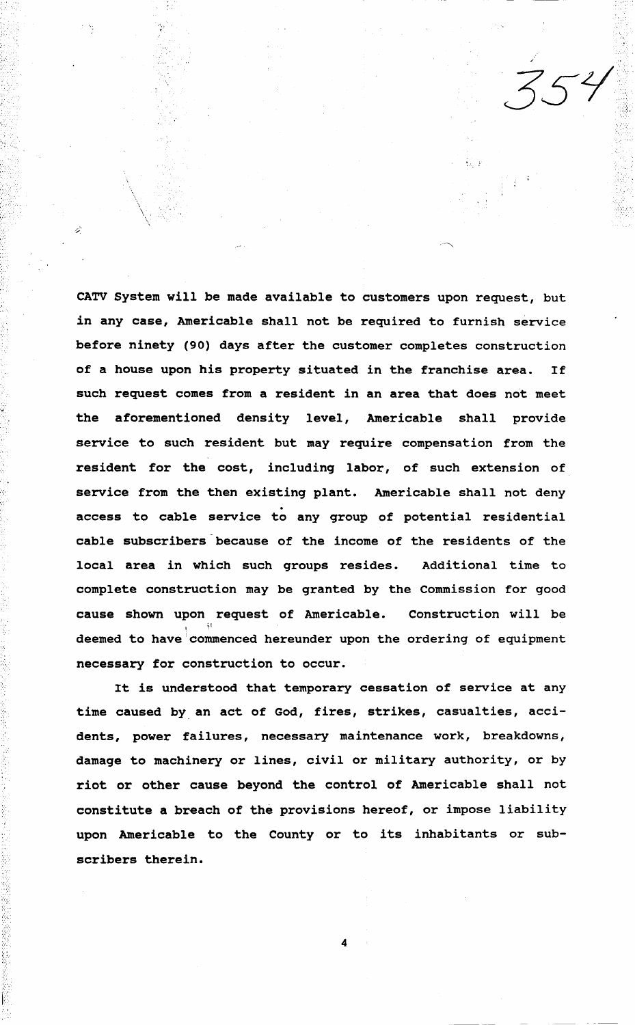CATV System will be made available to customers upon request, but in any case, Americable shall not be required to furnish service before ninety (90) days after the customer completes construction of a house upon his property situated in the franchise area. If such request comes from a resident in an area that does not meet the aforementioned density level, Americable shall provide service to such resident but may require compensation from the resident for the cost, including labor, of such extension of service from the then existing plant. Americable shall not deny<br>access to cable service to any group of potential residential cable subscribers because of the income of the residents of the local area in which such groups resides. Additional time to complete construction may be granted by the Commission for good cause shown upon request of Americable. Construction will be  $\mathbf{I}=\mathbf{I}^{\mathsf{I}}$ deemed to have commenced hereunder upon the ordering of equipment necessary for construction to occur.

 $-354$ 

*•.::.* 

 $\cdot$  .

•.; */,* 

... ' ......

تنة

.. ·~-

> It is understood that temporary cessation of service at any time caused by an act of God, fires, strikes, casualties, accidents, power failures, necessary maintenance work, breakdowns, damage to machinery or lines, civil or military authority, or by riot or other cause beyond the control of Americable shall not constitute a breach of the provisions hereof, or impose liability upon Americable to the County or to its inhabitants or subscribers therein.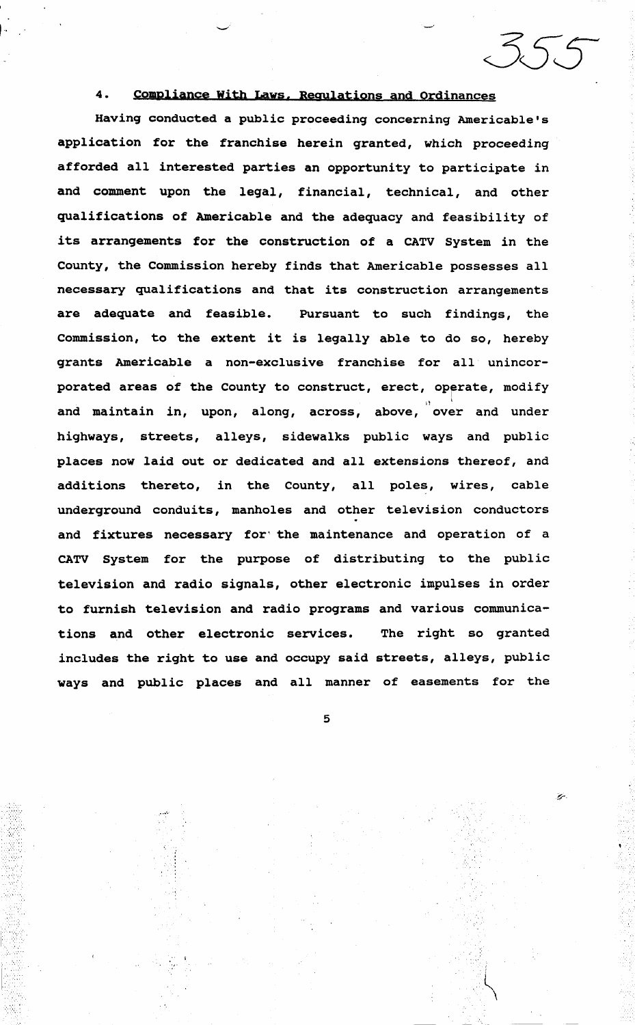#### $4.$ Compliance With Laws, Regulations and Ordinances

 $25.5$ 

Having conducted a public proceeding concerning Americable's application for the franchise herein granted, which proceeding afforded all interested parties an opportunity to participate in and comment upon the legal, financial, technical, and other qualifications of Americable and the adequacy and feasibility of its arrangements for the construction of a CATV System in the County, the Commission hereby finds that Americable possesses all necessary qualifications and that its construction arrangements are adequate and feasible. Pursuant to such findings, the Commission, to the extent it is legally able to do so, hereby grants Americable a non-exclusive franchise for all unincorporated areas of the County to construct, erect, operate, modify and maintain in, upon, along, across, above, over and under highways, streets, alleys, sidewalks public ways and public places now laid out or dedicated and all extensions thereof, and additions thereto, in the County, all poles, wires, cable underground conduits, manholes and other television conductors and fixtures necessary for the maintenance and operation of a CATV System for the purpose of distributing to the public television and radio signals, other electronic impulses in order to furnish television and radio programs and various communications and other electronic services. The right so granted includes the right to use and occupy said streets, alleys, public ways and public places and all manner of easements for the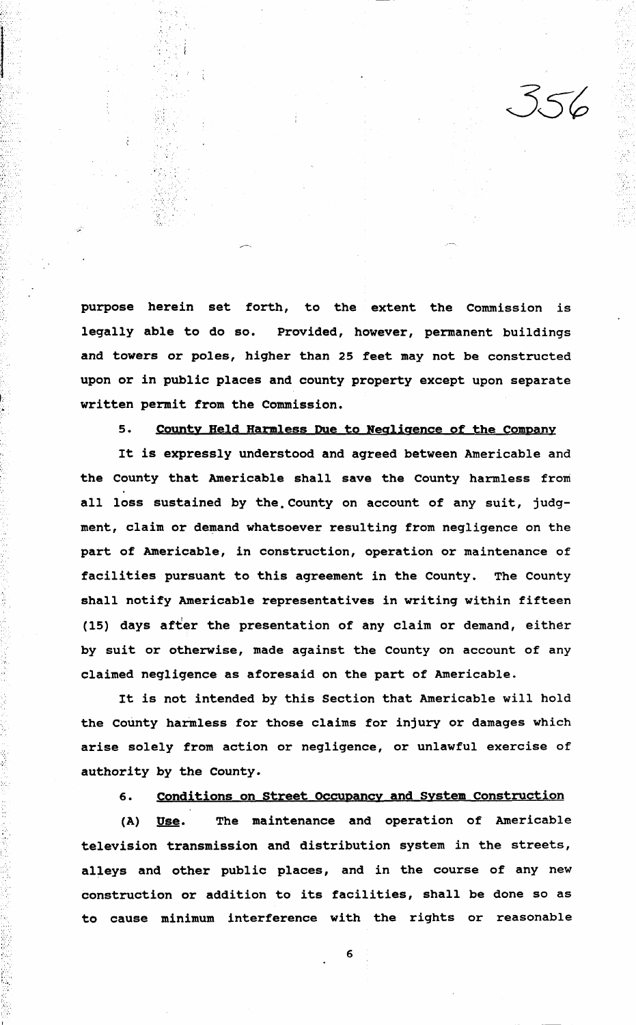purpose herein set forth, to the extent the Commission is legally able to do so. Provided, however, permanent buildings and towers or poles, higher than 25 feet may not be constructed upon or in public places and county property except upon separate written permit from the Commission.

';

f>',

# s. County Held Harmless Due to Negligence of the company

It is expressly understood and aqreed between Americable and the County that Americable shall save the County harmless front all loss sustained by the County on account of any suit, judgment, claim or demand whatsoever resulting from negligence on the part of Americable, in construction, operation or maintenance of facilities pursuant to this agreement in the County. The County shall notify Americable representatives in writing within fifteen (15) days after the presentation of any claim or demand, either by suit or otherwise, made against the County on account of any claimed negligence as aforesaid on the part of Americable.

It is not intended by this Section that Americable will hold the county harmless for those claims for injury or damages which arise solely from action or negligence, or unlawful exercise of authority by the County.

# 6. conditions on street Occupancy and System construction

(A) Use. The maintenance and operation of Americable television transmission and distribution system in the streets, alleys and other public places, and in the course of any new construction or addition to its facilities, shall be done so as to cause minimum interference with the rights or reasonable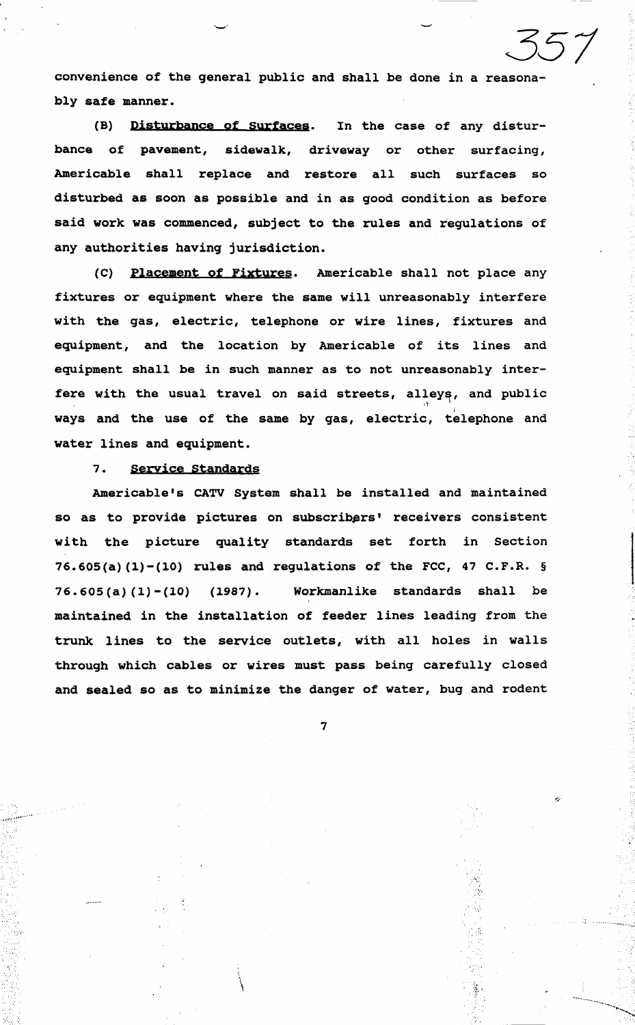convenience of the general public and shall be done in a reasonably safe manner.

351

-~-

........ -~ ...... , ....

(B) Disturbance of Surfaces. In the case of any disturbance of pavement, sidewalk, driveway or other surfacing, Americable shall replace and restore all such surfaces so disturbed as soon as possible and in as good condition as before said work was commenced, subject to the rules and regulations of any authorities having jurisdiction.

(C) Placement of Fixtures. Americable shall not place any fixtures or equipment where the same will unreasonably interfere with the gas, electric, telephone or wire lines, fixtures and equipment, and the location by Americable of its lines and equipment shall be in such manner as to not unreasonably interfere with the usual travel on said streets, alleys, and public 11 ways and the use of the same by gas, electric, telephone and water lines and equipment.

#### 7. Service Standards

Americable's CATV System shall be installed and maintained so as to provide pictures on subscribers' receivers consistent with the picture quality standards set forth in Section 76.605(a) (1)-(10) rules and regulations of the FCC, 47 C.F.R. § 76.605(a)(l)-(10) (1987). Workmanlike standards shall be maintained in the installation of feeder lines leading from the trunk lines to the service outlets, with all holes in walls through which cables or wires must pass being carefully closed and sealed so as to minimize the danger of water, bug and rodent

7

 $\mathbf{f}$ 

'  $\mathfrak{c}$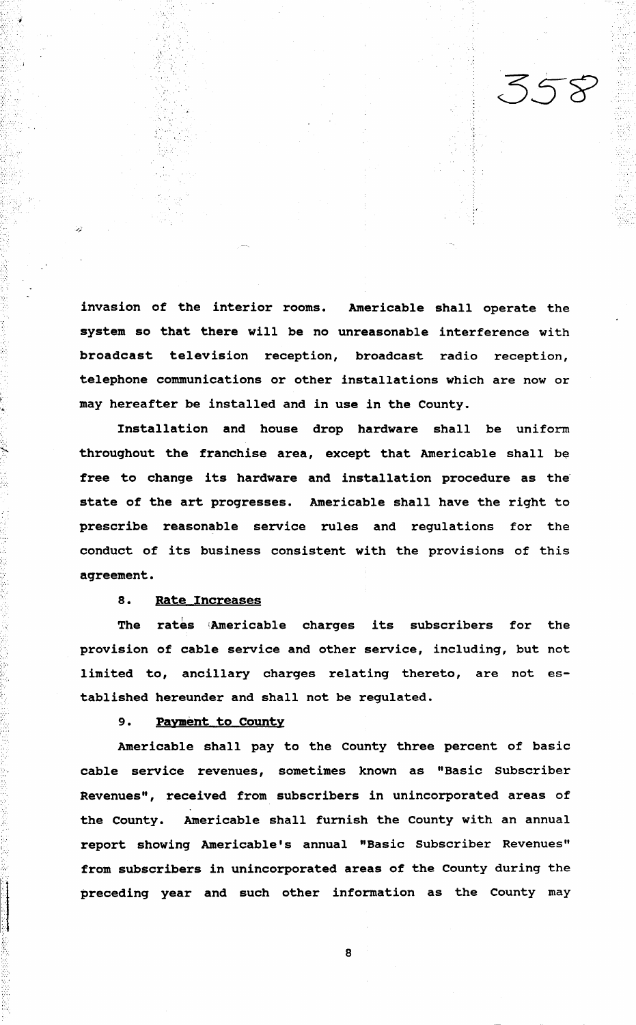: ..

invasion of the interior rooms. Americable shall operate the system so that there will be no unreasonable interference with broadcast television reception, broadcast radio reception, telephone communications or other installations which are now or may hereafter be installed and in use in the County.

Installation and house drop hardware shall be uniform throughout the franchise area, except that Americable shall be free to change its hardware and installation procedure as the state of the art progresses. Americable shall have the right to prescribe reasonable service rules and regulations for the conduct of its business consistent with the provisions of this aqreement.

# 8. Rate Increases

,..\_

 $\cdot\cdot\cdot$ ....

 $\mathbb{R}^2$ 

The rates ;Americable charges its subscribers for the provision of cable service and other service, including, but not limited to, ancillary charges relating thereto, are not established hereunder and shall not be regulated.

#### 9. Pavment to county

Americable shall pay to the county three percent of basic cable service revenues, sometimes known as "Basic Subscriber Revenues", received from subscribers in unincorporated areas of the County. Americable shall furnish the County with an annual report showing Americable's annual "Basic Subscriber Revenues" from subscribers in unincorporated areas of the County during the preceding year and such other information as the County may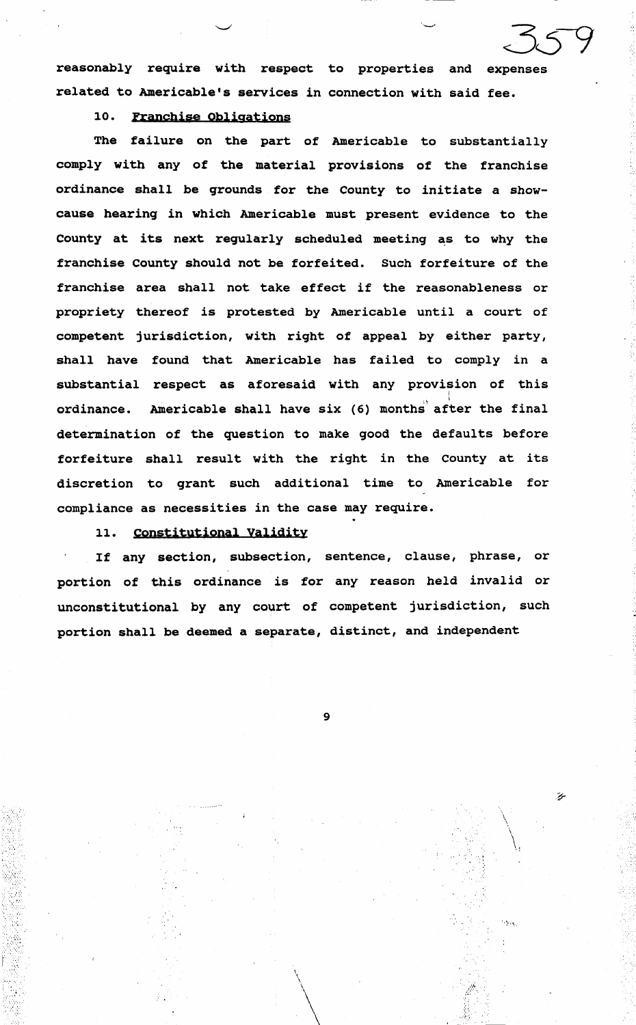reasonably require with respect to properties and expenses related to Americable's services in connection with said fee.

# 10. Franchise Obligations

The failure on the part of Americable to substantially comply with any of the material provisions of the franchise ordinance shall be grounds for the County to initiate a showcause hearing in which Americable must present evidence to the County at its next regularly scheduled meeting as to why the franchise County should not be forfeited. Such forfeiture of the franchise area shall not take effect if the reasonableness or propriety thereof is protested by Americable until a court of competent jurisdiction, with right of appeal by either party, shall have found that Americable has failed to comply in a substantial respect as aforesaid with any provision of this ordinance. Americable shall have six (6) months after the final determination of the question to make good the defaults before forfeiture shall result with the right in the County at its discretion to grant such additional time to Americable for compliance as necessities in the case may require.

# 11. Constitutional Validity

If any section, subsection, sentence, clause, phrase, or portion of this ordinance is for any reason held invalid or unconstitutional by any court of competent jurisdiction, such portion shall be deemed a separate, distinct, and independent

9

ý.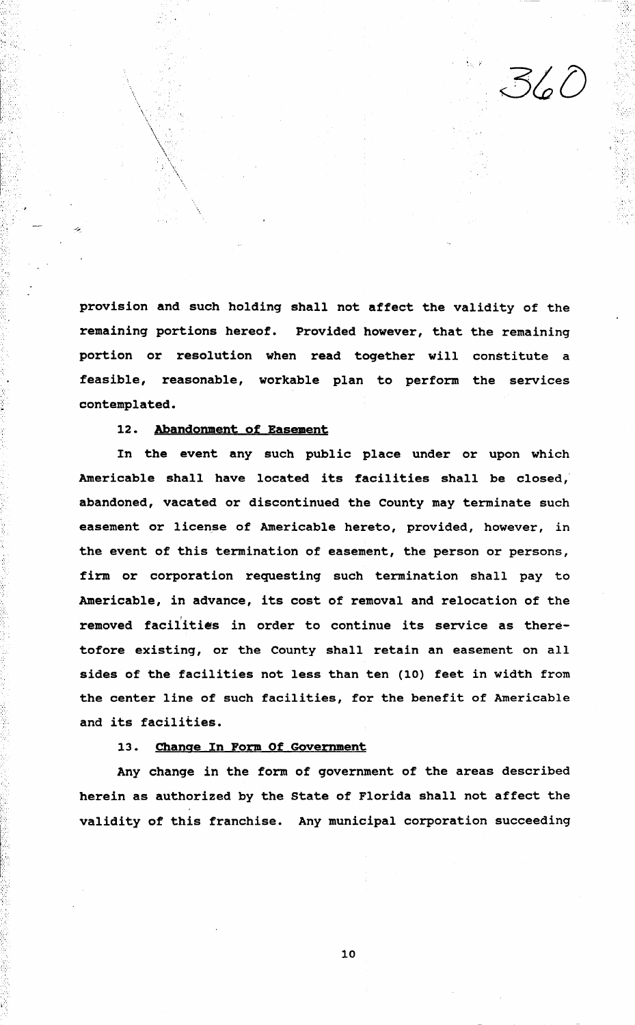provision and such holding shall not affect the validity of the remaining portions hereof. Provided however, that the remaining portion or resolution when read together will constitute a feasible, reasonable, workable plan to perform the services contemplated.

#### 12. Abandonment of Easement

In the event any such public place under or upon which Americable shall have located its facilities shall be closed, abandoned, vacated or discontinued the County may terminate such easement or license of Americable hereto, provided, however, in the event of this termination of easement, the person or persons, firm or corporation requesting such termination shall pay to Americable, in advance, its cost of removal and relocation of the removed facilities in order to continue its service as theretofore existing, or the County shall retain an easement on all sides of the facilities not less than ten (10) feet in width from the center line of such facilities, for the benefit of Americable and its facilities.

# 13. Change In Form Of Government

Any change in the form of government of the areas described herein as authorized by the State of Florida shall not affect the validity of this franchise. Any municipal corporation succeeding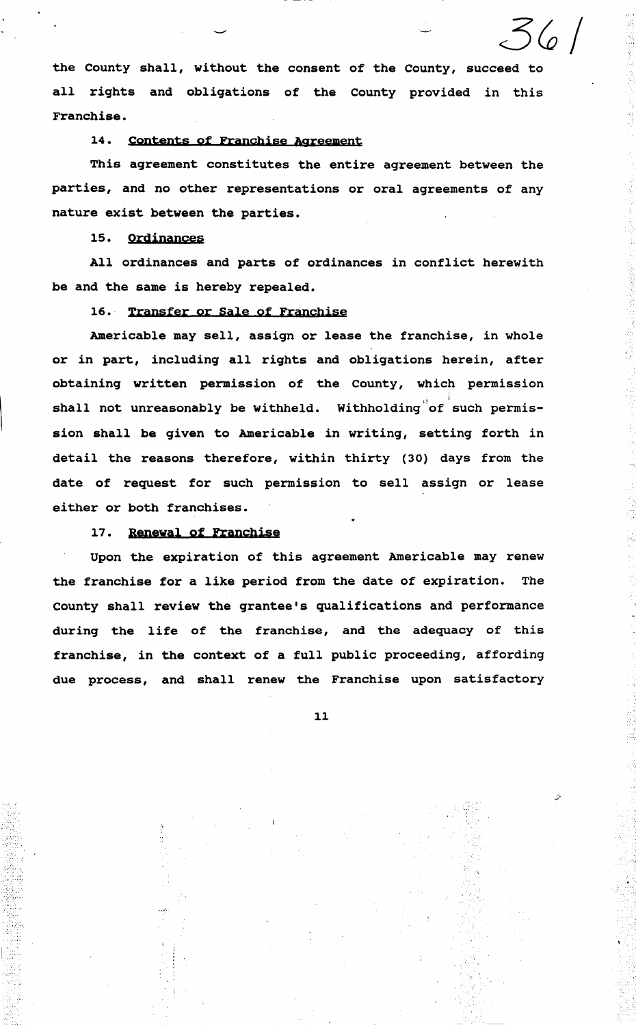the County shall, without the consent of the County, succeed to all rights and obligations of the County provided in this Franchise.

 $56$ 

·•;

'.

### 14. Contents of Franchise Agreement

This agreement constitutes the entire agreement between the parties, and no other representations or oral agreements of any nature exist between the parties.

# 15. Ordinances

All ordinances and parts of ordinances in conflict herewith be and the same is hereby repealed.

# 16. Transfer or Sale of Franchise

Americable may sell, assign or lease the franchise, in whole or in part, including all rights and obligations herein, after obtaining written permission of the County, which permission shall not unreasonably be withheld. Withholding of such permission shall be given to Americable in writing, setting forth in detail the reasons therefore, within thirty (30) days from the date of request for such permission to sell assign or lease either or both franchises.

# 17. Renewal of Franchise

 $\sim$   $\sim$ 

I, .. I ..

Upon the expiration of this agreement Americable may renew the franchise for a like period from the date of expiration. The county shall review the grantee's qualifications and performance during the life of the franchise, and the adequacy of this franchise, in the context of a full public proceeding, affording due process, and shall renew the Franchise upon satisfactory